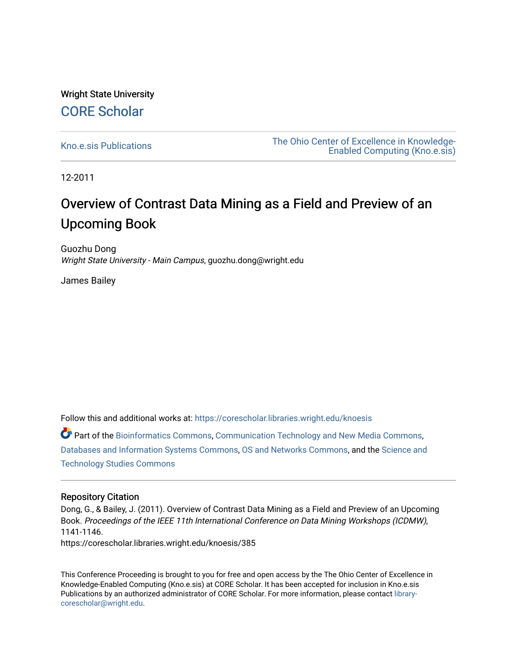## Wright State University [CORE Scholar](https://corescholar.libraries.wright.edu/)

[Kno.e.sis Publications](https://corescholar.libraries.wright.edu/knoesis) [The Ohio Center of Excellence in Knowledge-](https://corescholar.libraries.wright.edu/knoesis_comm)[Enabled Computing \(Kno.e.sis\)](https://corescholar.libraries.wright.edu/knoesis_comm) 

12-2011

# Overview of Contrast Data Mining as a Field and Preview of an Upcoming Book

Guozhu Dong Wright State University - Main Campus, guozhu.dong@wright.edu

James Bailey

Follow this and additional works at: [https://corescholar.libraries.wright.edu/knoesis](https://corescholar.libraries.wright.edu/knoesis?utm_source=corescholar.libraries.wright.edu%2Fknoesis%2F385&utm_medium=PDF&utm_campaign=PDFCoverPages) 

Part of the [Bioinformatics Commons,](http://network.bepress.com/hgg/discipline/110?utm_source=corescholar.libraries.wright.edu%2Fknoesis%2F385&utm_medium=PDF&utm_campaign=PDFCoverPages) [Communication Technology and New Media Commons,](http://network.bepress.com/hgg/discipline/327?utm_source=corescholar.libraries.wright.edu%2Fknoesis%2F385&utm_medium=PDF&utm_campaign=PDFCoverPages) [Databases and Information Systems Commons](http://network.bepress.com/hgg/discipline/145?utm_source=corescholar.libraries.wright.edu%2Fknoesis%2F385&utm_medium=PDF&utm_campaign=PDFCoverPages), [OS and Networks Commons](http://network.bepress.com/hgg/discipline/149?utm_source=corescholar.libraries.wright.edu%2Fknoesis%2F385&utm_medium=PDF&utm_campaign=PDFCoverPages), and the [Science and](http://network.bepress.com/hgg/discipline/435?utm_source=corescholar.libraries.wright.edu%2Fknoesis%2F385&utm_medium=PDF&utm_campaign=PDFCoverPages) [Technology Studies Commons](http://network.bepress.com/hgg/discipline/435?utm_source=corescholar.libraries.wright.edu%2Fknoesis%2F385&utm_medium=PDF&utm_campaign=PDFCoverPages) 

### Repository Citation

Dong, G., & Bailey, J. (2011). Overview of Contrast Data Mining as a Field and Preview of an Upcoming Book. Proceedings of the IEEE 11th International Conference on Data Mining Workshops (ICDMW), 1141-1146. https://corescholar.libraries.wright.edu/knoesis/385

This Conference Proceeding is brought to you for free and open access by the The Ohio Center of Excellence in Knowledge-Enabled Computing (Kno.e.sis) at CORE Scholar. It has been accepted for inclusion in Kno.e.sis Publications by an authorized administrator of CORE Scholar. For more information, please contact [library](mailto:library-corescholar@wright.edu)[corescholar@wright.edu](mailto:library-corescholar@wright.edu).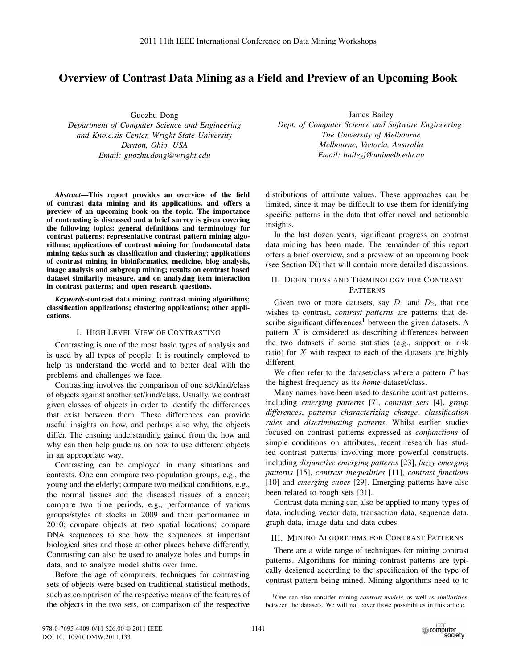## **Overview of Contrast Data Mining as a Field and Preview of an Upcoming Book**

Guozhu Dong

*Department of Computer Science and Engineering and Kno.e.sis Center, Wright State University Dayton, Ohio, USA Email: guozhu.dong@wright.edu*

*Abstract***—This report provides an overview of the field of contrast data mining and its applications, and offers a preview of an upcoming book on the topic. The importance of contrasting is discussed and a brief survey is given covering the following topics: general definitions and terminology for contrast patterns; representative contrast pattern mining algorithms; applications of contrast mining for fundamental data mining tasks such as classification and clustering; applications of contrast mining in bioinformatics, medicine, blog analysis, image analysis and subgroup mining; results on contrast based dataset similarity measure, and on analyzing item interaction in contrast patterns; and open research questions.**

*Keywords***-contrast data mining; contrast mining algorithms; classification applications; clustering applications; other applications.**

#### I. HIGH LEVEL VIEW OF CONTRASTING

Contrasting is one of the most basic types of analysis and is used by all types of people. It is routinely employed to help us understand the world and to better deal with the problems and challenges we face.

Contrasting involves the comparison of one set/kind/class of objects against another set/kind/class. Usually, we contrast given classes of objects in order to identify the differences that exist between them. These differences can provide useful insights on how, and perhaps also why, the objects differ. The ensuing understanding gained from the how and why can then help guide us on how to use different objects in an appropriate way.

Contrasting can be employed in many situations and contexts. One can compare two population groups, e.g., the young and the elderly; compare two medical conditions, e.g., the normal tissues and the diseased tissues of a cancer; compare two time periods, e.g., performance of various groups/styles of stocks in 2009 and their performance in 2010; compare objects at two spatial locations; compare DNA sequences to see how the sequences at important biological sites and those at other places behave differently. Contrasting can also be used to analyze holes and bumps in data, and to analyze model shifts over time.

Before the age of computers, techniques for contrasting sets of objects were based on traditional statistical methods, such as comparison of the respective means of the features of the objects in the two sets, or comparison of the respective James Bailey

*Dept. of Computer Science and Software Engineering The University of Melbourne Melbourne, Victoria, Australia Email: baileyj@unimelb.edu.au*

distributions of attribute values. These approaches can be limited, since it may be difficult to use them for identifying specific patterns in the data that offer novel and actionable insights.

In the last dozen years, significant progress on contrast data mining has been made. The remainder of this report offers a brief overview, and a preview of an upcoming book (see Section IX) that will contain more detailed discussions.

#### II. DEFINITIONS AND TERMINOLOGY FOR CONTRAST **PATTERNS**

Given two or more datasets, say  $D_1$  and  $D_2$ , that one wishes to contrast, *contrast patterns* are patterns that describe significant differences<sup>1</sup> between the given datasets. A pattern  $X$  is considered as describing differences between the two datasets if some statistics (e.g., support or risk ratio) for  $X$  with respect to each of the datasets are highly different.

We often refer to the dataset/class where a pattern  $P$  has the highest frequency as its *home* dataset/class.

Many names have been used to describe contrast patterns, including *emerging patterns* [7], *contrast sets* [4], *group differences*, *patterns characterizing change*, *classification rules* and *discriminating patterns*. Whilst earlier studies focused on contrast patterns expressed as *conjunctions* of simple conditions on attributes, recent research has studied contrast patterns involving more powerful constructs, including *disjunctive emerging patterns* [23], *fuzzy emerging patterns* [15], *contrast inequalities* [11], *contrast functions* [10] and *emerging cubes* [29]. Emerging patterns have also been related to rough sets [31].

Contrast data mining can also be applied to many types of data, including vector data, transaction data, sequence data, graph data, image data and data cubes.

#### III. MINING ALGORITHMS FOR CONTRAST PATTERNS

There are a wide range of techniques for mining contrast patterns. Algorithms for mining contrast patterns are typically designed according to the specification of the type of contrast pattern being mined. Mining algorithms need to to

<sup>1</sup>One can also consider mining *contrast models*, as well as *similarities*, between the datasets. We will not cover those possibilities in this article.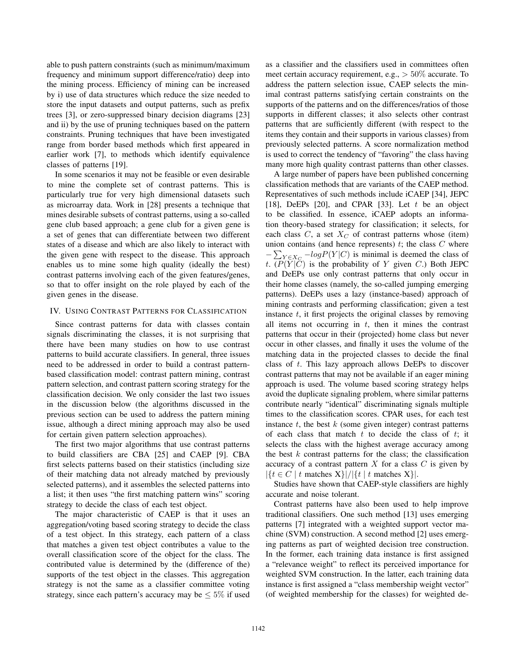able to push pattern constraints (such as minimum/maximum frequency and minimum support difference/ratio) deep into the mining process. Efficiency of mining can be increased by i) use of data structures which reduce the size needed to store the input datasets and output patterns, such as prefix trees [3], or zero-suppressed binary decision diagrams [23] and ii) by the use of pruning techniques based on the pattern constraints. Pruning techniques that have been investigated range from border based methods which first appeared in earlier work [7], to methods which identify equivalence classes of patterns [19].

In some scenarios it may not be feasible or even desirable to mine the complete set of contrast patterns. This is particularly true for very high dimensional datasets such as microarray data. Work in [28] presents a technique that mines desirable subsets of contrast patterns, using a so-called gene club based approach; a gene club for a given gene is a set of genes that can differentiate between two different states of a disease and which are also likely to interact with the given gene with respect to the disease. This approach enables us to mine some high quality (ideally the best) contrast patterns involving each of the given features/genes, so that to offer insight on the role played by each of the given genes in the disease.

#### IV. USING CONTRAST PATTERNS FOR CLASSIFICATION

Since contrast patterns for data with classes contain signals discriminating the classes, it is not surprising that there have been many studies on how to use contrast patterns to build accurate classifiers. In general, three issues need to be addressed in order to build a contrast patternbased classification model: contrast pattern mining, contrast pattern selection, and contrast pattern scoring strategy for the classification decision. We only consider the last two issues in the discussion below (the algorithms discussed in the previous section can be used to address the pattern mining issue, although a direct mining approach may also be used for certain given pattern selection approaches).

The first two major algorithms that use contrast patterns to build classifiers are CBA [25] and CAEP [9]. CBA first selects patterns based on their statistics (including size of their matching data not already matched by previously selected patterns), and it assembles the selected patterns into a list; it then uses "the first matching pattern wins" scoring strategy to decide the class of each test object.

The major characteristic of CAEP is that it uses an aggregation/voting based scoring strategy to decide the class of a test object. In this strategy, each pattern of a class that matches a given test object contributes a value to the overall classification score of the object for the class. The contributed value is determined by the (difference of the) supports of the test object in the classes. This aggregation strategy is not the same as a classifier committee voting strategy, since each pattern's accuracy may be  $\leq 5\%$  if used as a classifier and the classifiers used in committees often meet certain accuracy requirement, e.g., > 50% accurate. To address the pattern selection issue, CAEP selects the minimal contrast patterns satisfying certain constraints on the supports of the patterns and on the differences/ratios of those supports in different classes; it also selects other contrast patterns that are sufficiently different (with respect to the items they contain and their supports in various classes) from previously selected patterns. A score normalization method is used to correct the tendency of "favoring" the class having many more high quality contrast patterns than other classes.

A large number of papers have been published concerning classification methods that are variants of the CAEP method. Representatives of such methods include iCAEP [34], JEPC [18], DeEPs [20], and CPAR [33]. Let  $t$  be an object to be classified. In essence, iCAEP adopts an information theory-based strategy for classification; it selects, for each class  $C$ , a set  $X_C$  of contrast patterns whose (item) union contains (and hence represents)  $t$ ; the class  $C$  where  $-\sum_{Y \in X_C} -logP(Y|C)$  is minimal is deemed the class of t. ( $P(Y|C)$  is the probability of Y given C.) Both JEPC and DeEPs use only contrast patterns that only occur in their home classes (namely, the so-called jumping emerging patterns). DeEPs uses a lazy (instance-based) approach of mining contrasts and performing classification; given a test instance  $t$ , it first projects the original classes by removing all items not occurring in  $t$ , then it mines the contrast patterns that occur in their (projected) home class but never occur in other classes, and finally it uses the volume of the matching data in the projected classes to decide the final class of  $t$ . This lazy approach allows DeEPs to discover contrast patterns that may not be available if an eager mining approach is used. The volume based scoring strategy helps avoid the duplicate signaling problem, where similar patterns contribute nearly "identical" discriminating signals multiple times to the classification scores. CPAR uses, for each test instance  $t$ , the best  $k$  (some given integer) contrast patterns of each class that match  $t$  to decide the class of  $t$ ; it selects the class with the highest average accuracy among the best  $k$  contrast patterns for the class; the classification accuracy of a contrast pattern  $X$  for a class  $C$  is given by  $|\{t \in C \mid t \text{ matches } X\}|/|\{t \mid t \text{ matches } X\}|.$ 

Studies have shown that CAEP-style classifiers are highly accurate and noise tolerant.

Contrast patterns have also been used to help improve traditional classifiers. One such method [13] uses emerging patterns [7] integrated with a weighted support vector machine (SVM) construction. A second method [2] uses emerging patterns as part of weighted decision tree construction. In the former, each training data instance is first assigned a "relevance weight" to reflect its perceived importance for weighted SVM construction. In the latter, each training data instance is first assigned a "class membership weight vector" (of weighted membership for the classes) for weighted de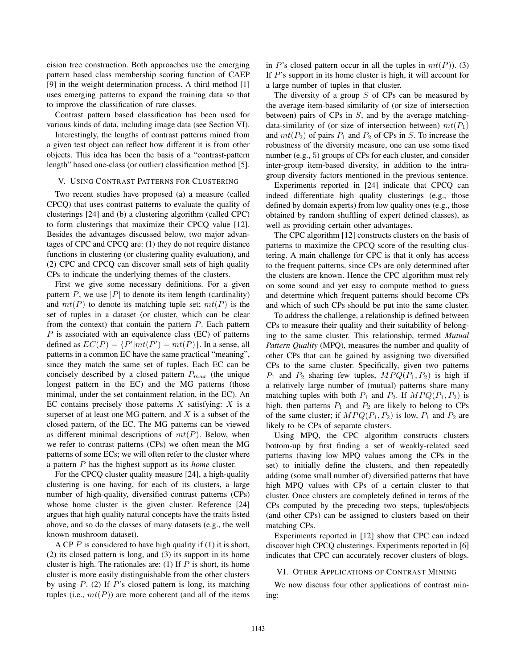cision tree construction. Both approaches use the emerging pattern based class membership scoring function of CAEP [9] in the weight determination process. A third method [1] uses emerging patterns to expand the training data so that to improve the classification of rare classes.

Contrast pattern based classification has been used for various kinds of data, including image data (see Section VI).

Interestingly, the lengths of contrast patterns mined from a given test object can reflect how different it is from other objects. This idea has been the basis of a "contrast-pattern length" based one-class (or outlier) classification method [5].

#### V. USING CONTRAST PATTERNS FOR CLUSTERING

Two recent studies have proposed (a) a measure (called CPCQ) that uses contrast patterns to evaluate the quality of clusterings [24] and (b) a clustering algorithm (called CPC) to form clusterings that maximize their CPCQ value [12]. Besides the advantages discussed below, two major advantages of CPC and CPCQ are: (1) they do not require distance functions in clustering (or clustering quality evaluation), and (2) CPC and CPCQ can discover small sets of high quality CPs to indicate the underlying themes of the clusters.

First we give some necessary definitions. For a given pattern P, we use |P| to denote its item length (cardinality) and  $mt(P)$  to denote its matching tuple set;  $mt(P)$  is the set of tuples in a dataset (or cluster, which can be clear from the context) that contain the pattern  $P$ . Each pattern  $P$  is associated with an equivalence class (EC) of patterns defined as  $EC(P) = {P'}|mt(P') = mt(P)$ . In a sense, all patterns in a common EC have the same practical "meaning", since they match the same set of tuples. Each EC can be concisely described by a closed pattern  $P_{max}$  (the unique longest pattern in the EC) and the MG patterns (those minimal, under the set containment relation, in the EC). An EC contains precisely those patterns  $X$  satisfying:  $X$  is a superset of at least one MG pattern, and  $X$  is a subset of the closed pattern, of the EC. The MG patterns can be viewed as different minimal descriptions of  $mt(P)$ . Below, when we refer to contrast patterns (CPs) we often mean the MG patterns of some ECs; we will often refer to the cluster where a pattern  $P$  has the highest support as its *home* cluster.

For the CPCQ cluster quality measure [24], a high-quality clustering is one having, for each of its clusters, a large number of high-quality, diversified contrast patterns (CPs) whose home cluster is the given cluster. Reference [24] argues that high quality natural concepts have the traits listed above, and so do the classes of many datasets (e.g., the well known mushroom dataset).

A CP  $P$  is considered to have high quality if (1) it is short, (2) its closed pattern is long, and (3) its support in its home cluster is high. The rationales are: (1) If  $P$  is short, its home cluster is more easily distinguishable from the other clusters by using  $P$ . (2) If  $P$ 's closed pattern is long, its matching tuples (i.e.,  $mt(P)$ ) are more coherent (and all of the items in P's closed pattern occur in all the tuples in  $mt(P)$ ). (3) If  $P$ 's support in its home cluster is high, it will account for a large number of tuples in that cluster.

The diversity of a group  $S$  of CPs can be measured by the average item-based similarity of (or size of intersection between) pairs of CPs in  $S$ , and by the average matchingdata-similarity of (or size of intersection between)  $mt(P_1)$ and  $mt(P_2)$  of pairs  $P_1$  and  $P_2$  of CPs in S. To increase the robustness of the diversity measure, one can use some fixed number (e.g., 5) groups of CPs for each cluster, and consider inter-group item-based diversity, in addition to the intragroup diversity factors mentioned in the previous sentence.

Experiments reported in [24] indicate that CPCQ can indeed differentiate high quality clusterings (e.g., those defined by domain experts) from low quality ones (e.g., those obtained by random shuffling of expert defined classes), as well as providing certain other advantages.

The CPC algorithm [12] constructs clusters on the basis of patterns to maximize the CPCQ score of the resulting clustering. A main challenge for CPC is that it only has access to the frequent patterns, since CPs are only determined after the clusters are known. Hence the CPC algorithm must rely on some sound and yet easy to compute method to guess and determine which frequent patterns should become CPs and which of such CPs should be put into the same cluster.

To address the challenge, a relationship is defined between CPs to measure their quality and their suitability of belonging to the same cluster. This relationship, termed *Mutual Pattern Quality* (MPQ), measures the number and quality of other CPs that can be gained by assigning two diversified CPs to the same cluster. Specifically, given two patterns  $P_1$  and  $P_2$  sharing few tuples,  $MPQ(P_1, P_2)$  is high if a relatively large number of (mutual) patterns share many matching tuples with both  $P_1$  and  $P_2$ . If  $MPQ(P_1, P_2)$  is high, then patterns  $P_1$  and  $P_2$  are likely to belong to CPs of the same cluster; if  $MPQ(P_1, P_2)$  is low,  $P_1$  and  $P_2$  are likely to be CPs of separate clusters.

Using MPQ, the CPC algorithm constructs clusters bottom-up by first finding a set of weakly-related seed patterns (having low MPQ values among the CPs in the set) to initially define the clusters, and then repeatedly adding (some small number of) diversified patterns that have high MPQ values with CPs of a certain cluster to that cluster. Once clusters are completely defined in terms of the CPs computed by the preceding two steps, tuples/objects (and other CPs) can be assigned to clusters based on their matching CPs.

Experiments reported in [12] show that CPC can indeed discover high CPCQ clusterings. Experiments reported in [6] indicates that CPC can accurately recover clusters of blogs.

#### VI. OTHER APPLICATIONS OF CONTRAST MINING

We now discuss four other applications of contrast mining: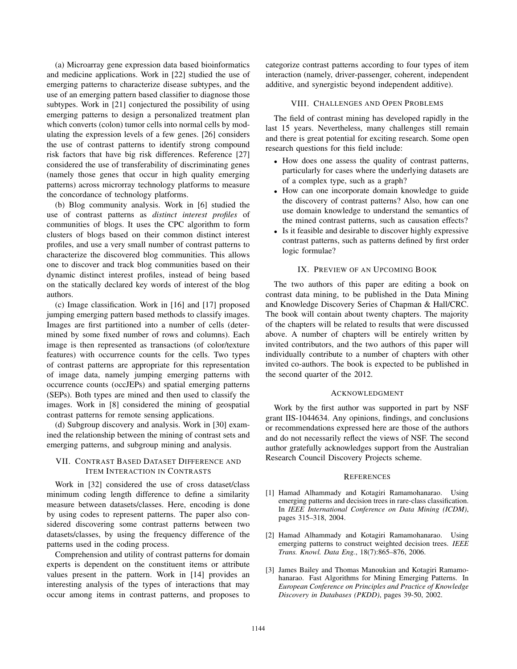(a) Microarray gene expression data based bioinformatics and medicine applications. Work in [22] studied the use of emerging patterns to characterize disease subtypes, and the use of an emerging pattern based classifier to diagnose those subtypes. Work in [21] conjectured the possibility of using emerging patterns to design a personalized treatment plan which converts (colon) tumor cells into normal cells by modulating the expression levels of a few genes. [26] considers the use of contrast patterns to identify strong compound risk factors that have big risk differences. Reference [27] considered the use of transferability of discriminating genes (namely those genes that occur in high quality emerging patterns) across microrray technology platforms to measure the concordance of technology platforms.

(b) Blog community analysis. Work in [6] studied the use of contrast patterns as *distinct interest profiles* of communities of blogs. It uses the CPC algorithm to form clusters of blogs based on their common distinct interest profiles, and use a very small number of contrast patterns to characterize the discovered blog communities. This allows one to discover and track blog communities based on their dynamic distinct interest profiles, instead of being based on the statically declared key words of interest of the blog authors.

(c) Image classification. Work in [16] and [17] proposed jumping emerging pattern based methods to classify images. Images are first partitioned into a number of cells (determined by some fixed number of rows and columns). Each image is then represented as transactions (of color/texture features) with occurrence counts for the cells. Two types of contrast patterns are appropriate for this representation of image data, namely jumping emerging patterns with occurrence counts (occJEPs) and spatial emerging patterns (SEPs). Both types are mined and then used to classify the images. Work in [8] considered the mining of geospatial contrast patterns for remote sensing applications.

(d) Subgroup discovery and analysis. Work in [30] examined the relationship between the mining of contrast sets and emerging patterns, and subgroup mining and analysis.

#### VII. CONTRAST BASED DATASET DIFFERENCE AND ITEM INTERACTION IN CONTRASTS

Work in [32] considered the use of cross dataset/class minimum coding length difference to define a similarity measure between datasets/classes. Here, encoding is done by using codes to represent patterns. The paper also considered discovering some contrast patterns between two datasets/classes, by using the frequency difference of the patterns used in the coding process.

Comprehension and utility of contrast patterns for domain experts is dependent on the constituent items or attribute values present in the pattern. Work in [14] provides an interesting analysis of the types of interactions that may occur among items in contrast patterns, and proposes to

categorize contrast patterns according to four types of item interaction (namely, driver-passenger, coherent, independent additive, and synergistic beyond independent additive).

#### VIII. CHALLENGES AND OPEN PROBLEMS

The field of contrast mining has developed rapidly in the last 15 years. Nevertheless, many challenges still remain and there is great potential for exciting research. Some open research questions for this field include:

- <sup>∙</sup> How does one assess the quality of contrast patterns, particularly for cases where the underlying datasets are of a complex type, such as a graph?
- <sup>∙</sup> How can one incorporate domain knowledge to guide the discovery of contrast patterns? Also, how can one use domain knowledge to understand the semantics of the mined contrast patterns, such as causation effects?
- <sup>∙</sup> Is it feasible and desirable to discover highly expressive contrast patterns, such as patterns defined by first order logic formulae?

#### IX. PREVIEW OF AN UPCOMING BOOK

The two authors of this paper are editing a book on contrast data mining, to be published in the Data Mining and Knowledge Discovery Series of Chapman & Hall/CRC. The book will contain about twenty chapters. The majority of the chapters will be related to results that were discussed above. A number of chapters will be entirely written by invited contributors, and the two authors of this paper will individually contribute to a number of chapters with other invited co-authors. The book is expected to be published in the second quarter of the 2012.

#### ACKNOWLEDGMENT

Work by the first author was supported in part by NSF grant IIS-1044634. Any opinions, findings, and conclusions or recommendations expressed here are those of the authors and do not necessarily reflect the views of NSF. The second author gratefully acknowledges support from the Australian Research Council Discovery Projects scheme.

#### **REFERENCES**

- [1] Hamad Alhammady and Kotagiri Ramamohanarao. Using emerging patterns and decision trees in rare-class classification. In *IEEE International Conference on Data Mining (ICDM)*, pages 315–318, 2004.
- [2] Hamad Alhammady and Kotagiri Ramamohanarao. Using emerging patterns to construct weighted decision trees. *IEEE Trans. Knowl. Data Eng.*, 18(7):865–876, 2006.
- [3] James Bailey and Thomas Manoukian and Kotagiri Ramamohanarao. Fast Algorithms for Mining Emerging Patterns. In *European Conference on Principles and Practice of Knowledge Discovery in Databases (PKDD)*, pages 39-50, 2002.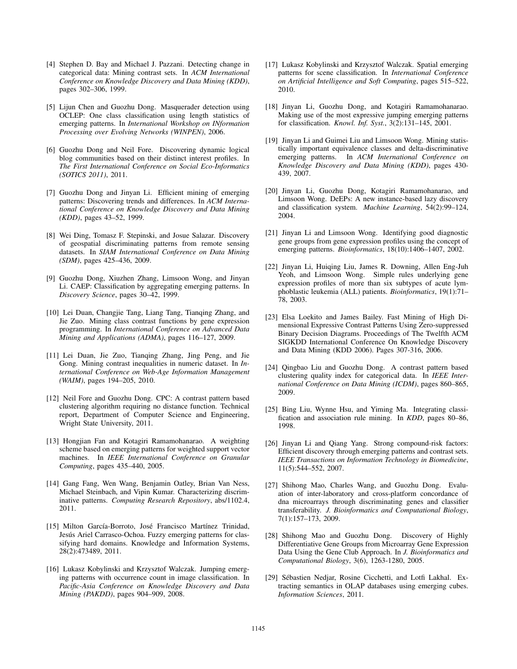- [4] Stephen D. Bay and Michael J. Pazzani. Detecting change in categorical data: Mining contrast sets. In *ACM International Conference on Knowledge Discovery and Data Mining (KDD)*, pages 302–306, 1999.
- [5] Lijun Chen and Guozhu Dong. Masquerader detection using OCLEP: One class classification using length statistics of emerging patterns. In *International Workshop on INformation Processing over Evolving Networks (WINPEN)*, 2006.
- [6] Guozhu Dong and Neil Fore. Discovering dynamic logical blog communities based on their distinct interest profiles. In *The First International Conference on Social Eco-Informatics (SOTICS 2011)*, 2011.
- [7] Guozhu Dong and Jinyan Li. Efficient mining of emerging patterns: Discovering trends and differences. In *ACM International Conference on Knowledge Discovery and Data Mining (KDD)*, pages 43–52, 1999.
- [8] Wei Ding, Tomasz F. Stepinski, and Josue Salazar. Discovery of geospatial discriminating patterns from remote sensing datasets. In *SIAM International Conference on Data Mining (SDM)*, pages 425–436, 2009.
- [9] Guozhu Dong, Xiuzhen Zhang, Limsoon Wong, and Jinyan Li. CAEP: Classification by aggregating emerging patterns. In *Discovery Science*, pages 30–42, 1999.
- [10] Lei Duan, Changjie Tang, Liang Tang, Tianqing Zhang, and Jie Zuo. Mining class contrast functions by gene expression programming. In *International Conference on Advanced Data Mining and Applications (ADMA)*, pages 116–127, 2009.
- [11] Lei Duan, Jie Zuo, Tianqing Zhang, Jing Peng, and Jie Gong. Mining contrast inequalities in numeric dataset. In *International Conference on Web-Age Information Management (WAIM)*, pages 194–205, 2010.
- [12] Neil Fore and Guozhu Dong. CPC: A contrast pattern based clustering algorithm requiring no distance function. Technical report, Department of Computer Science and Engineering, Wright State University, 2011.
- [13] Hongjian Fan and Kotagiri Ramamohanarao. A weighting scheme based on emerging patterns for weighted support vector machines. In *IEEE International Conference on Granular Computing*, pages 435–440, 2005.
- [14] Gang Fang, Wen Wang, Benjamin Oatley, Brian Van Ness, Michael Steinbach, and Vipin Kumar. Characterizing discriminative patterns. *Computing Research Repository*, abs/1102.4, 2011.
- [15] Milton García-Borroto, José Francisco Martínez Trinidad, Jesús Ariel Carrasco-Ochoa. Fuzzy emerging patterns for classifying hard domains. Knowledge and Information Systems, 28(2):473489, 2011.
- [16] Lukasz Kobylinski and Krzysztof Walczak. Jumping emerging patterns with occurrence count in image classification. In *Pacific-Asia Conference on Knowledge Discovery and Data Mining (PAKDD)*, pages 904–909, 2008.
- [17] Lukasz Kobylinski and Krzysztof Walczak. Spatial emerging patterns for scene classification. In *International Conference on Artificial Intelligence and Soft Computing*, pages 515–522, 2010.
- [18] Jinyan Li, Guozhu Dong, and Kotagiri Ramamohanarao. Making use of the most expressive jumping emerging patterns for classification. *Knowl. Inf. Syst.*, 3(2):131–145, 2001.
- [19] Jinyan Li and Guimei Liu and Limsoon Wong. Mining statistically important equivalence classes and delta-discriminative emerging patterns. In *ACM International Conference on Knowledge Discovery and Data Mining (KDD)*, pages 430- 439, 2007.
- [20] Jinyan Li, Guozhu Dong, Kotagiri Ramamohanarao, and Limsoon Wong. DeEPs: A new instance-based lazy discovery and classification system. *Machine Learning*, 54(2):99–124, 2004.
- [21] Jinyan Li and Limsoon Wong. Identifying good diagnostic gene groups from gene expression profiles using the concept of emerging patterns. *Bioinformatics*, 18(10):1406–1407, 2002.
- [22] Jinyan Li, Huiqing Liu, James R. Downing, Allen Eng-Juh Yeoh, and Limsoon Wong. Simple rules underlying gene expression profiles of more than six subtypes of acute lymphoblastic leukemia (ALL) patients. *Bioinformatics*, 19(1):71– 78, 2003.
- [23] Elsa Loekito and James Bailey. Fast Mining of High Dimensional Expressive Contrast Patterns Using Zero-suppressed Binary Decision Diagrams. Proceedings of The Twelfth ACM SIGKDD International Conference On Knowledge Discovery and Data Mining (KDD 2006). Pages 307-316, 2006.
- [24] Qingbao Liu and Guozhu Dong. A contrast pattern based clustering quality index for categorical data. In *IEEE International Conference on Data Mining (ICDM)*, pages 860–865, 2009.
- [25] Bing Liu, Wynne Hsu, and Yiming Ma. Integrating classification and association rule mining. In *KDD*, pages 80–86, 1998.
- [26] Jinyan Li and Qiang Yang. Strong compound-risk factors: Efficient discovery through emerging patterns and contrast sets. *IEEE Transactions on Information Technology in Biomedicine*, 11(5):544–552, 2007.
- [27] Shihong Mao, Charles Wang, and Guozhu Dong. Evaluation of inter-laboratory and cross-platform concordance of dna microarrays through discriminating genes and classifier transferability. *J. Bioinformatics and Computational Biology*, 7(1):157–173, 2009.
- [28] Shihong Mao and Guozhu Dong. Discovery of Highly Differentiative Gene Groups from Microarray Gene Expression Data Using the Gene Club Approach. In *J. Bioinformatics and Computational Biology*, 3(6), 1263-1280, 2005.
- [29] Sébastien Nedjar, Rosine Cicchetti, and Lotfi Lakhal. Extracting semantics in OLAP databases using emerging cubes. *Information Sciences*, 2011.